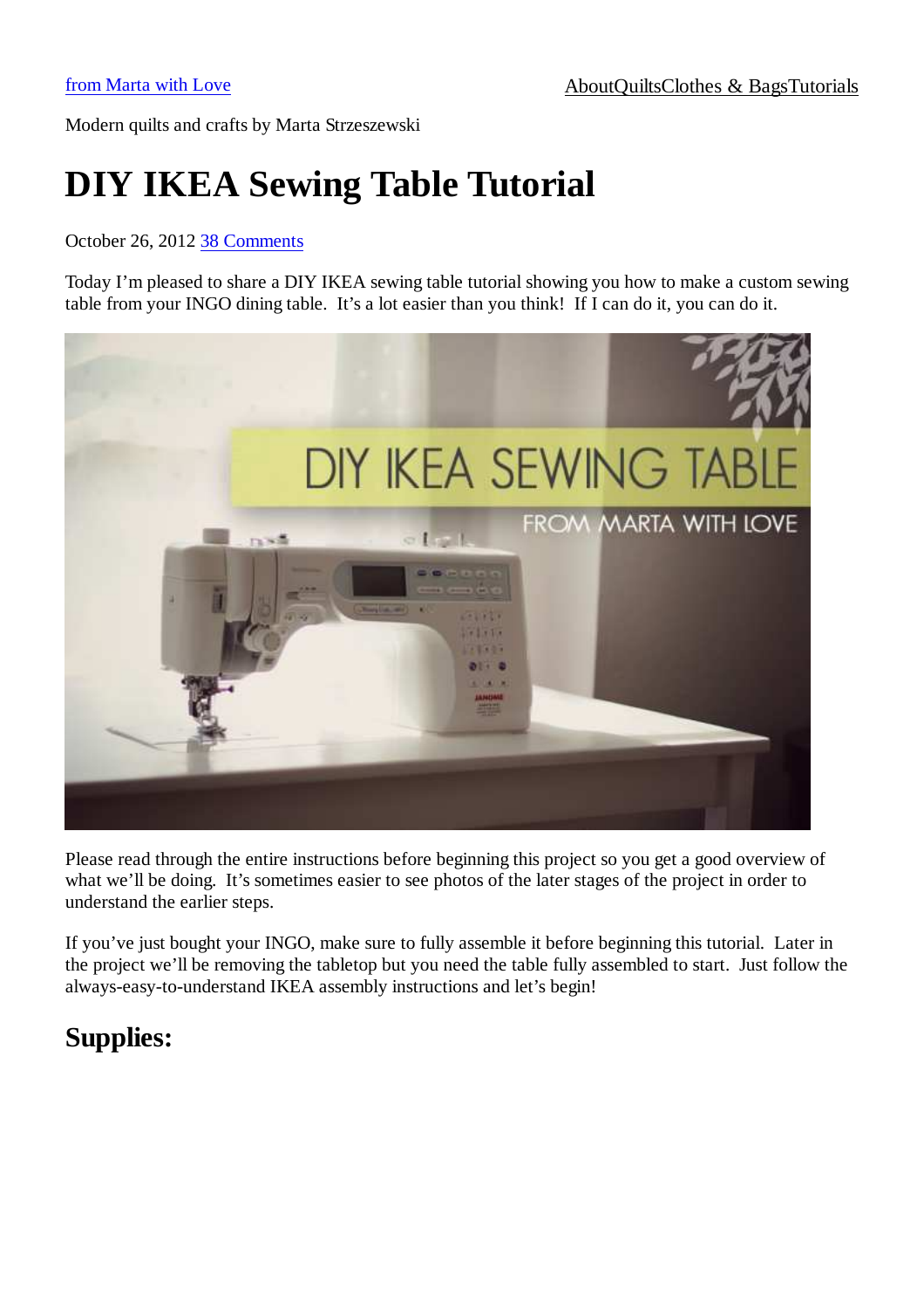Modern quilts and crafts by Marta Strzeszewski

# **DIY IKEA Sewing Table Tutorial**

#### October 26, 2012 38 Comments

Today I'm pleased to share a DIY IKEA sewing table tutorial showing you how to make a custom sewing table from your INGO dining table. It's a lot easier than you think! If I can do it, you can do it.



Please read through the entire instructions before beginning this project so you get a good overview of what we'll be doing. It's sometimes easier to see photos of the later stages of the project in order to understand the earlier steps.

If you've just bought your INGO, make sure to fully assemble it before beginning this tutorial. Later in the project we'll be removing the tabletop but you need the table fully assembled to start. Just follow the always-easy-to-understand IKEA assembly instructions and let's begin!

### **Supplies:**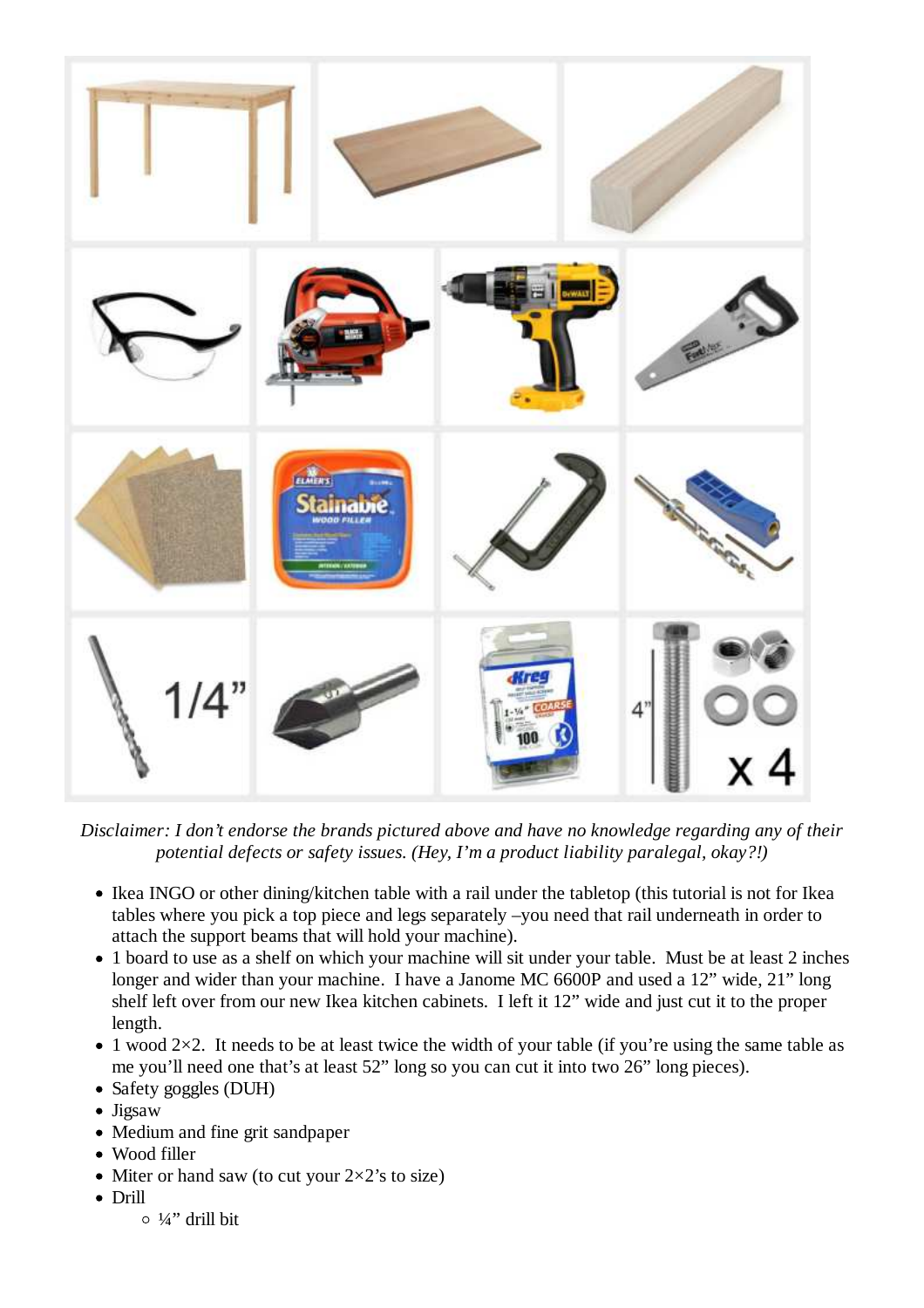

*Disclaimer: I don't endorse the brands pictured above and have no knowledge regarding any of their potential defects or safety issues. (Hey, I'm a product liability paralegal, okay?!)*

- Ikea INGO or other dining/kitchen table with a rail under the tabletop (this tutorial is not for Ikea tables where you pick a top piece and legs separately –you need that rail underneath in order to attach the support beams that will hold your machine).
- 1 board to use as a shelf on which your machine will sit under your table. Must be at least 2 inches longer and wider than your machine. I have a Janome MC 6600P and used a 12" wide, 21" long shelf left over from our new Ikea kitchen cabinets. I left it 12" wide and just cut it to the proper length.
- $\bullet$  1 wood 2×2. It needs to be at least twice the width of your table (if you're using the same table as me you'll need one that's at least 52" long so you can cut it into two 26" long pieces).
- Safety goggles (DUH)
- Jigsaw
- Medium and fine grit sandpaper
- Wood filler
- Miter or hand saw (to cut your  $2\times 2$ 's to size)
- Drill
	- $\circ$  ¼" drill bit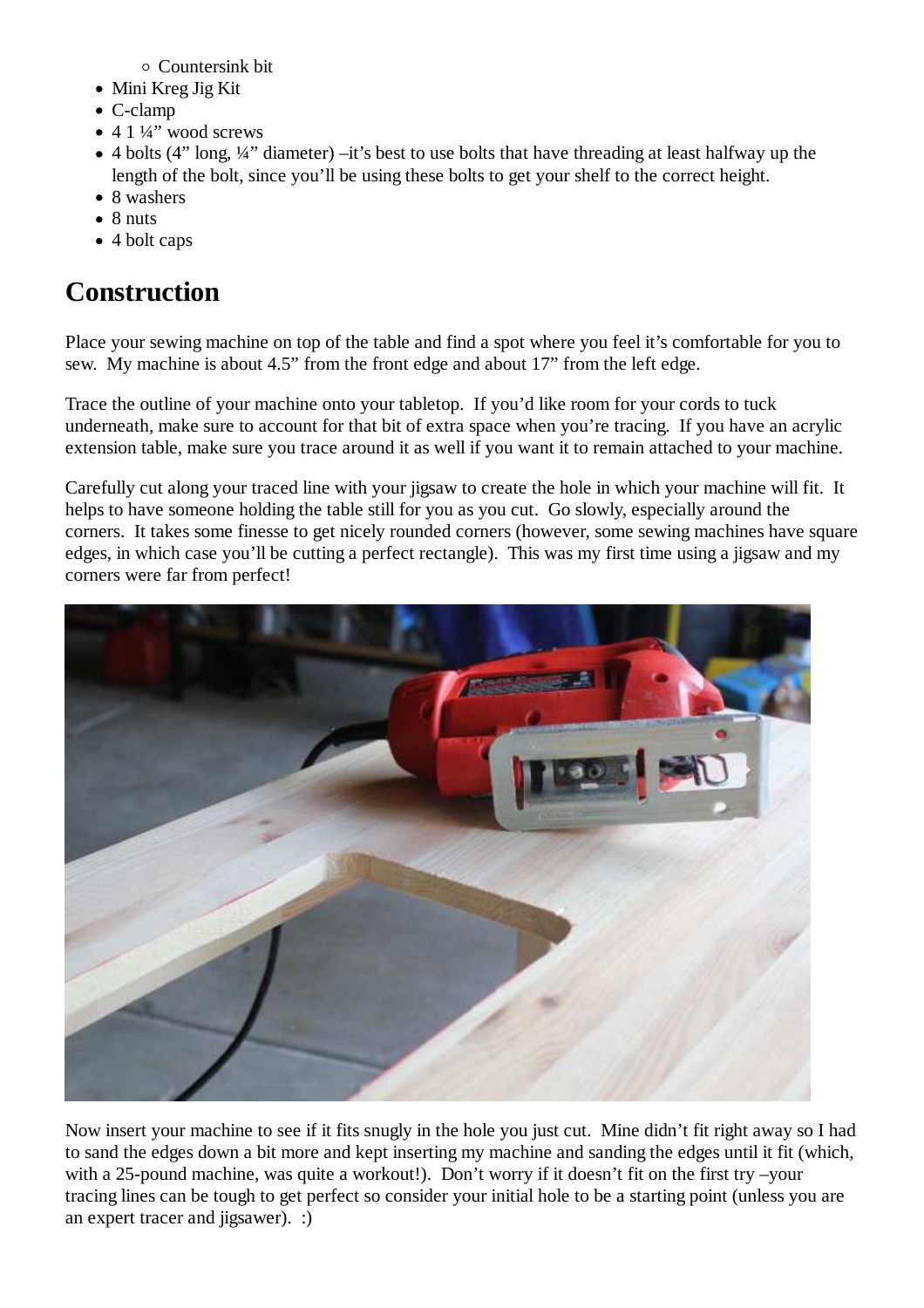Countersink bit

- Mini Kreg Jig Kit
- C-clamp
- $\bullet$  4 1 ¼" wood screws
- 4 bolts (4" long, ¼" diameter) –it's best to use bolts that have threading at least halfway up the length of the bolt, since you'll be using these bolts to get your shelf to the correct height.
- 8 washers
- $\bullet$  8 nuts
- 4 bolt caps

## **Construction**

Place your sewing machine on top of the table and find a spot where you feel it's comfortable for you to sew. My machine is about 4.5" from the front edge and about 17" from the left edge.

Trace the outline of your machine onto your tabletop. If you'd like room for your cords to tuck underneath, make sure to account for that bit of extra space when you're tracing. If you have an acrylic extension table, make sure you trace around it as well if you want it to remain attached to your machine.

Carefully cut along your traced line with your jigsaw to create the hole in which your machine will fit. It helps to have someone holding the table still for you as you cut. Go slowly, especially around the corners. It takes some finesse to get nicely rounded corners (however, some sewing machines have square edges, in which case you'll be cutting a perfect rectangle). This was my first time using a jigsaw and my corners were far from perfect!



Now insert your machine to see if it fits snugly in the hole you just cut. Mine didn't fit right away so I had to sand the edges down a bit more and kept inserting my machine and sanding the edges until it fit (which, with a 25-pound machine, was quite a workout!). Don't worry if it doesn't fit on the first try –your tracing lines can be tough to get perfect so consider your initial hole to be a starting point (unless you are an expert tracer and jigsawer). :)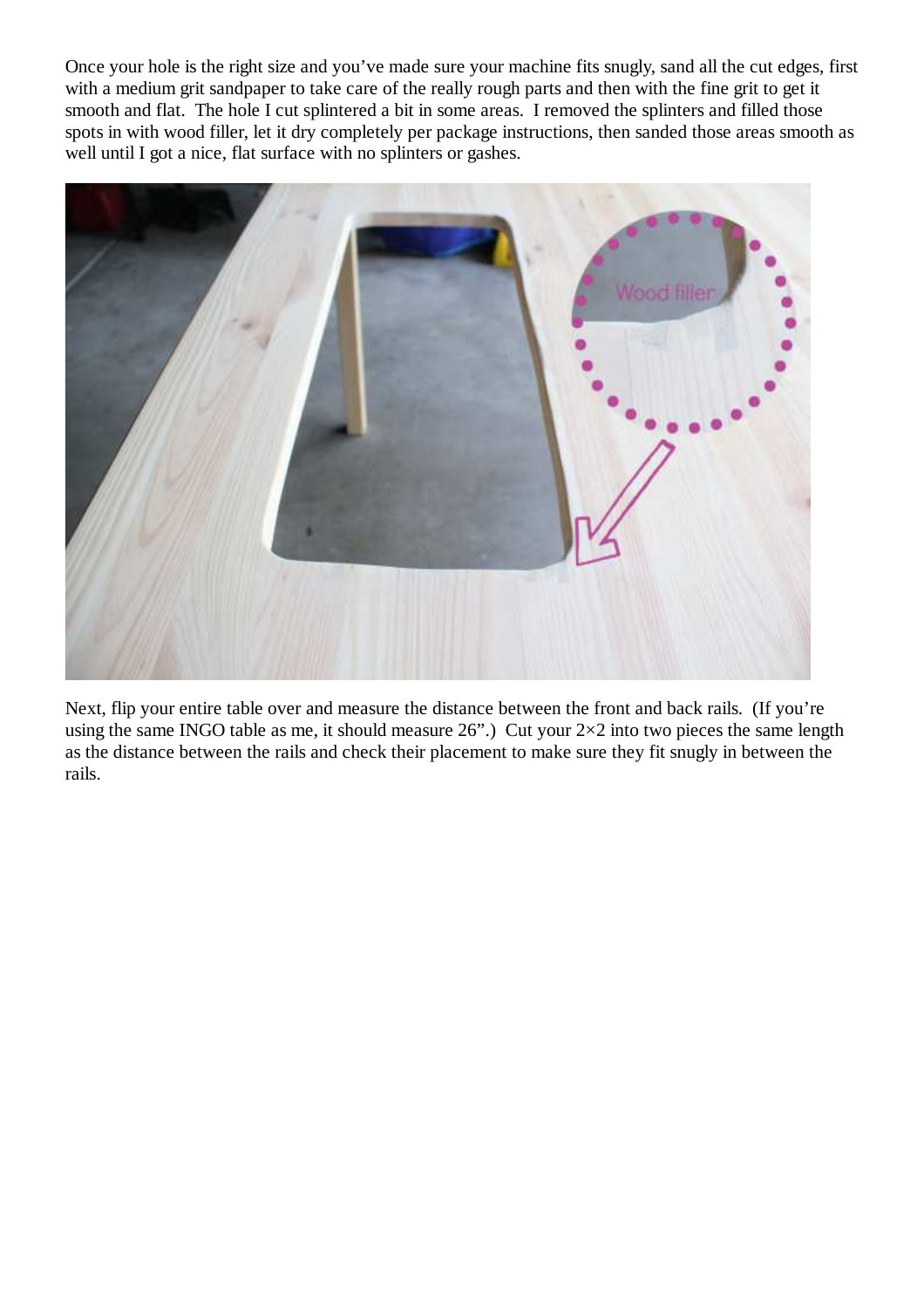Once your hole is the right size and you've made sure your machine fits snugly, sand all the cut edges, first with a medium grit sandpaper to take care of the really rough parts and then with the fine grit to get it smooth and flat. The hole I cut splintered a bit in some areas. I removed the splinters and filled those spots in with wood filler, let it dry completely per package instructions, then sanded those areas smooth as well until I got a nice, flat surface with no splinters or gashes.



Next, flip your entire table over and measure the distance between the front and back rails. (If you're using the same INGO table as me, it should measure 26".) Cut your  $2\times 2$  into two pieces the same length as the distance between the rails and check their placement to make sure they fit snugly in between the rails.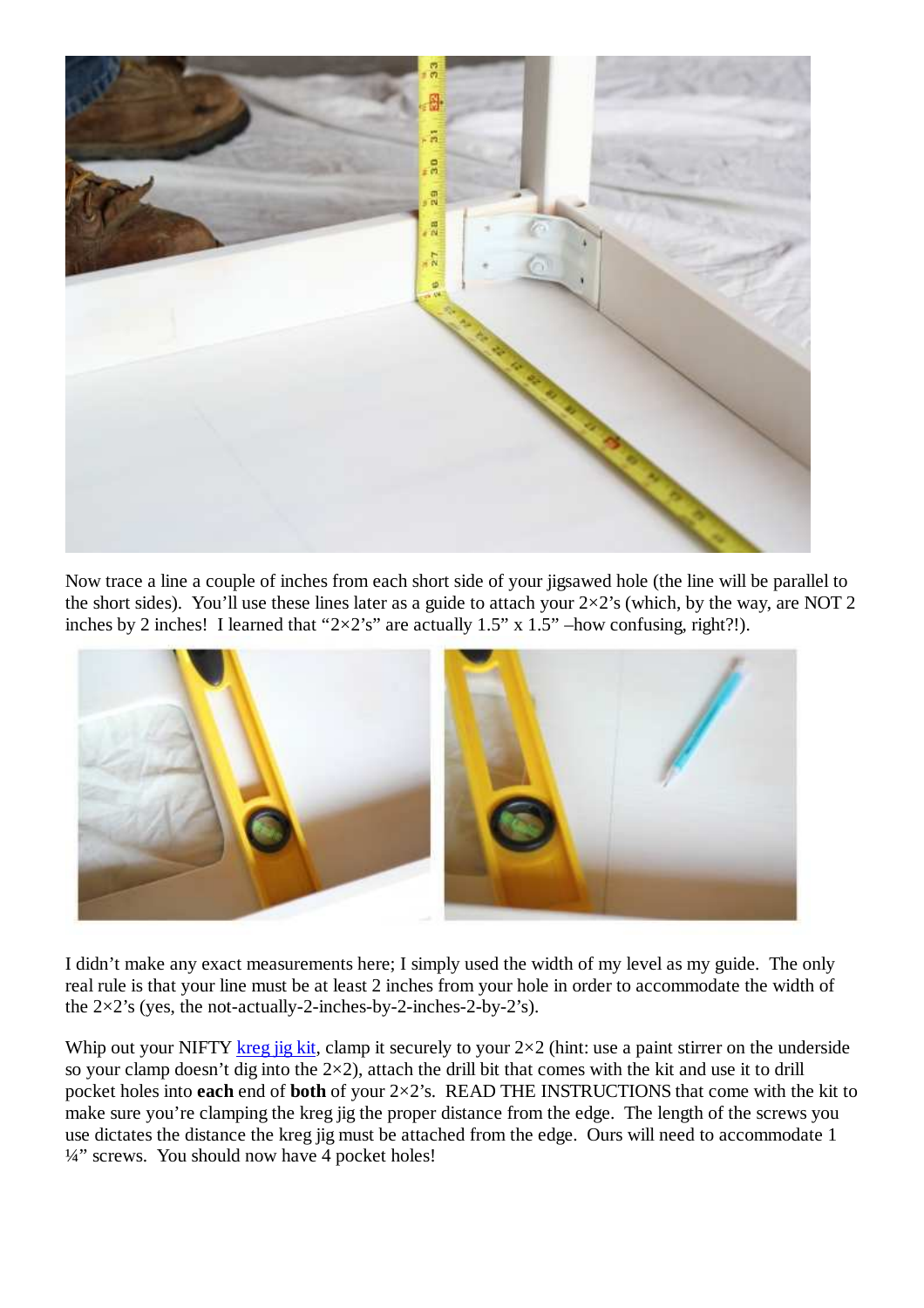

Now trace a line a couple of inches from each short side of your jigsawed hole (the line will be parallel to the short sides). You'll use these lines later as a guide to attach your  $2\times 2$ 's (which, by the way, are NOT 2 inches by 2 inches! I learned that " $2\times2$ 's" are actually 1.5" x 1.5" –how confusing, right?!).



I didn't make any exact measurements here; I simply used the width of my level as my guide. The only real rule is that your line must be at least 2 inches from your hole in order to accommodate the width of the  $2\times2$ 's (yes, the not-actually-2-inches-by-2-inches-2-by-2's).

Whip out your NIFTY kreg jig kit, clamp it securely to your  $2\times 2$  (hint: use a paint stirrer on the underside so your clamp doesn't dig into the  $2\times 2$ ), attach the drill bit that comes with the kit and use it to drill pocket holes into **each** end of **both** of your 2×2's. READ THE INSTRUCTIONS that come with the kit to make sure you're clamping the kreg jig the proper distance from the edge. The length of the screws you use dictates the distance the kreg jig must be attached from the edge. Ours will need to accommodate 1 <sup>1/4"</sup> screws. You should now have 4 pocket holes!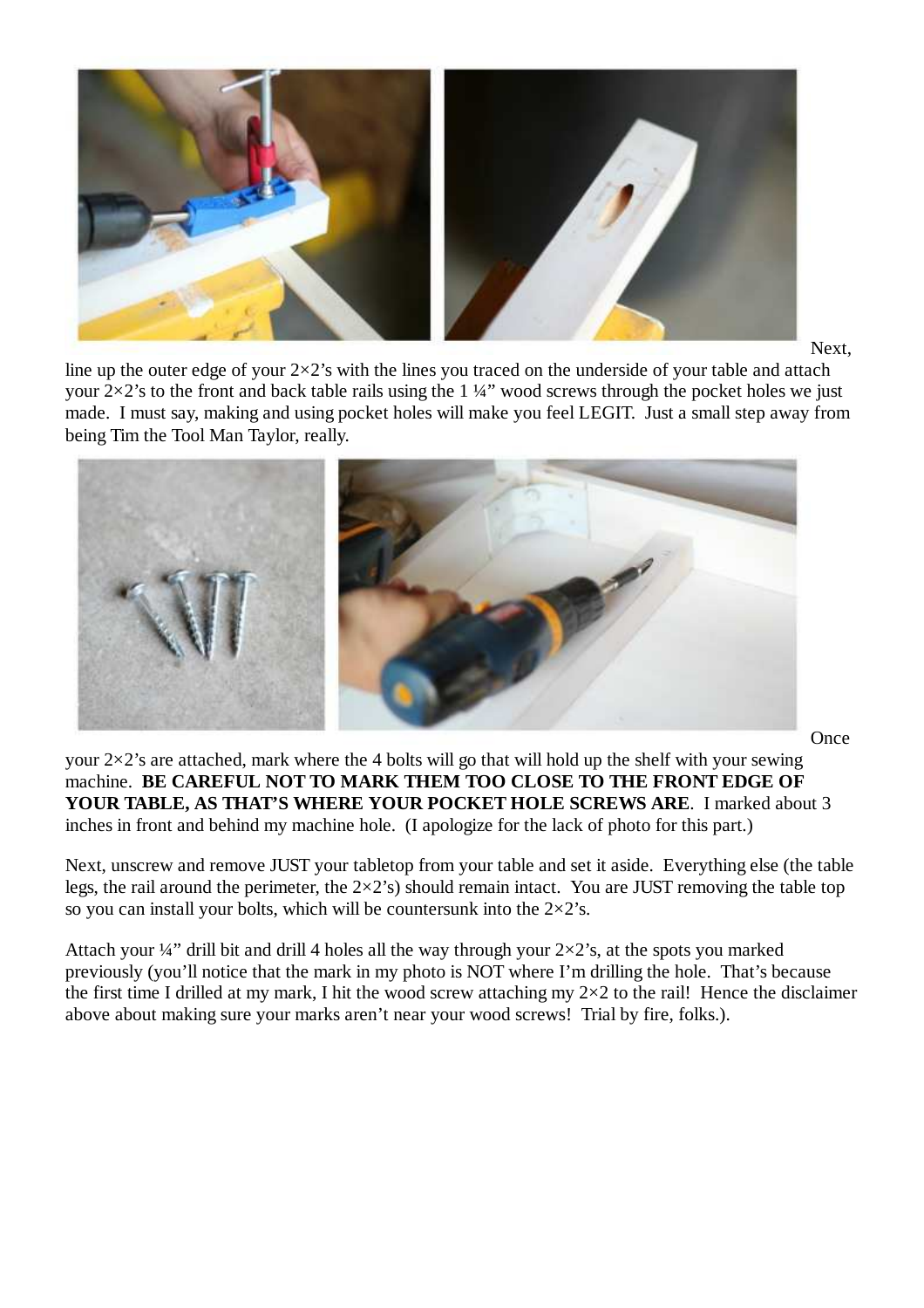

Next,

line up the outer edge of your  $2\times2$ 's with the lines you traced on the underside of your table and attach your  $2\times 2$ 's to the front and back table rails using the 1 ¼" wood screws through the pocket holes we just made. I must say, making and using pocket holes will make you feel LEGIT. Just a small step away from being Tim the Tool Man Taylor, really.



**Once** 

your  $2\times 2$ 's are attached, mark where the 4 bolts will go that will hold up the shelf with your sewing machine. **BE CAREFUL NOT TO MARK THEM TOO CLOSE TO THE FRONT EDGE OF YOUR TABLE, AS THAT'S WHERE YOUR POCKET HOLE SCREWS ARE**. I marked about 3 inches in front and behind my machine hole. (I apologize for the lack of photo for this part.)

Next, unscrew and remove JUST your tabletop from your table and set it aside. Everything else (the table legs, the rail around the perimeter, the  $2\times2$ 's) should remain intact. You are JUST removing the table top so you can install your bolts, which will be countersunk into the  $2\times2$ 's.

Attach your  $\frac{1}{4}$ " drill bit and drill 4 holes all the way through your  $2\times 2$ 's, at the spots you marked previously (you'll notice that the mark in my photo is NOT where I'm drilling the hole. That's because the first time I drilled at my mark, I hit the wood screw attaching my  $2\times 2$  to the rail! Hence the disclaimer above about making sure your marks aren't near your wood screws! Trial by fire, folks.).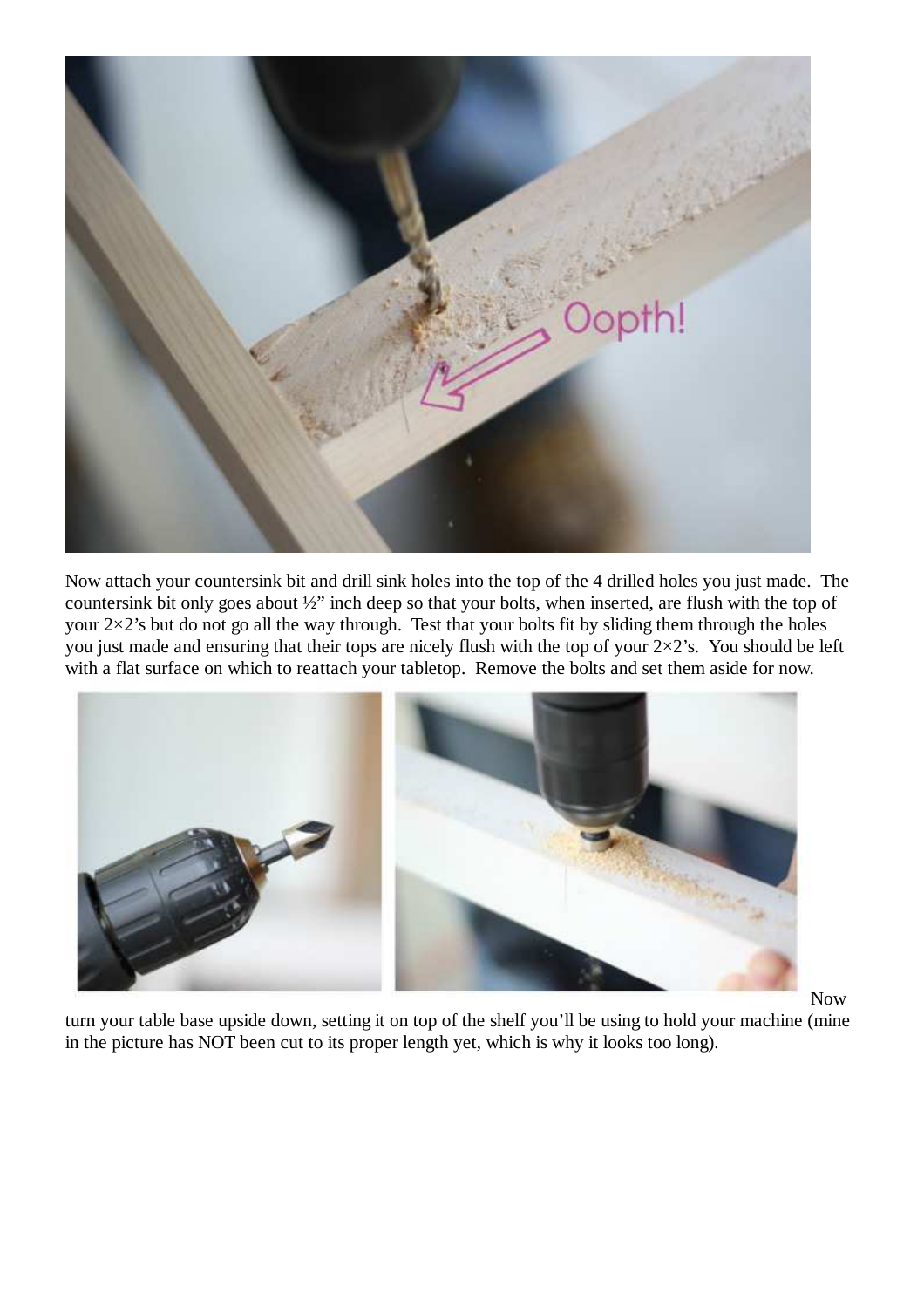

Now attach your countersink bit and drill sink holes into the top of the 4 drilled holes you just made. The countersink bit only goes about ½" inch deep so that your bolts, when inserted, are flush with the top of your  $2\times2$ 's but do not go all the way through. Test that your bolts fit by sliding them through the holes you just made and ensuring that their tops are nicely flush with the top of your  $2\times2$ 's. You should be left with a flat surface on which to reattach your tabletop. Remove the bolts and set them aside for now.



Now

turn your table base upside down, setting it on top of the shelf you'll be using to hold your machine (mine in the picture has NOT been cut to its proper length yet, which is why it looks too long).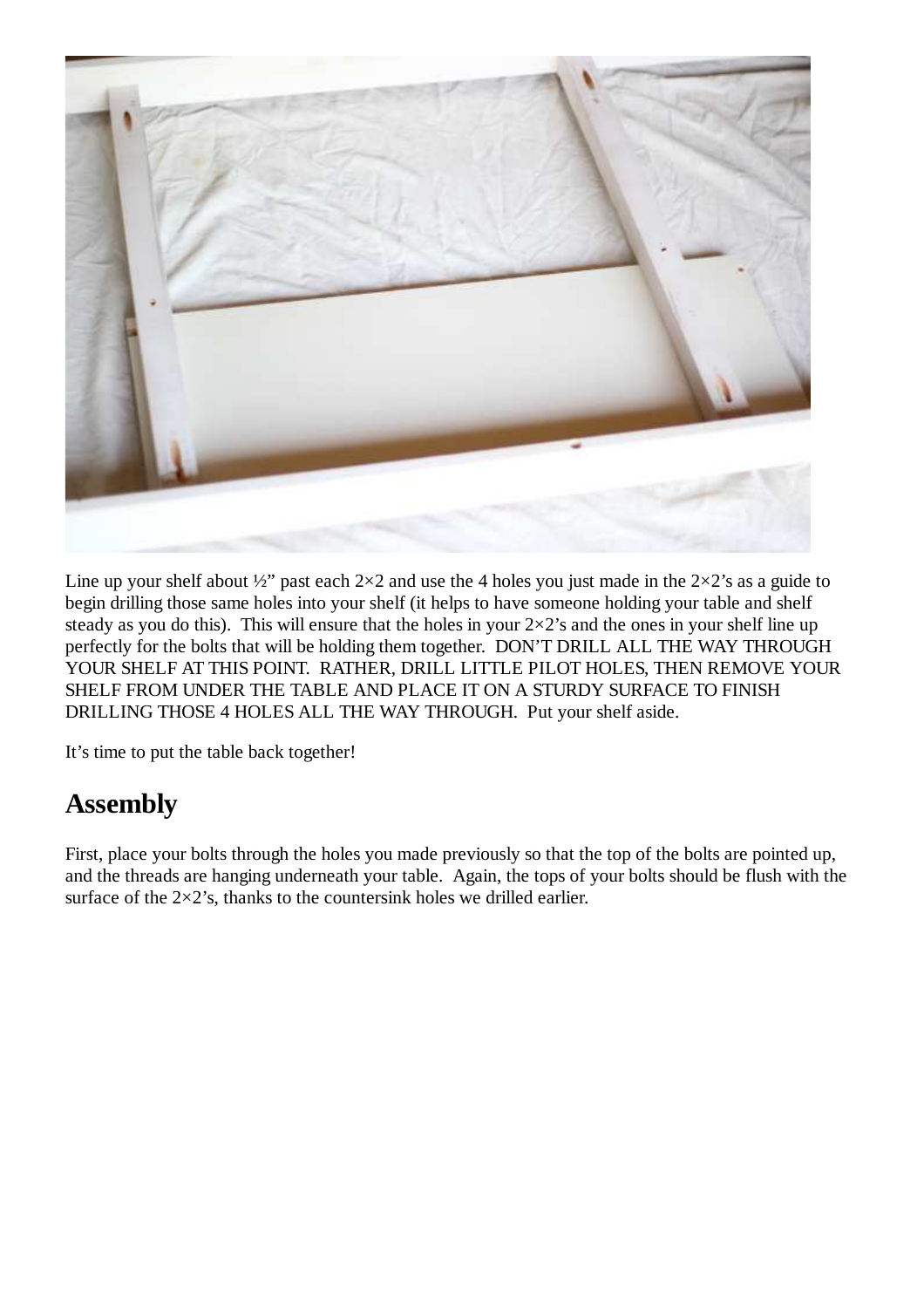

Line up your shelf about  $\frac{1}{2}$  past each  $2\times 2$  and use the 4 holes you just made in the  $2\times 2$ 's as a guide to begin drilling those same holes into your shelf (it helps to have someone holding your table and shelf steady as you do this). This will ensure that the holes in your  $2\times 2$ 's and the ones in your shelf line up perfectly for the bolts that will be holding them together. DON'T DRILL ALL THE WAY THROUGH YOUR SHELF AT THIS POINT. RATHER, DRILL LITTLE PILOT HOLES, THEN REMOVE YOUR SHELF FROM UNDER THE TABLE AND PLACE IT ON A STURDY SURFACE TO FINISH DRILLING THOSE 4 HOLES ALL THE WAY THROUGH.Put your shelf aside.

It's time to put the table back together!

### **Assembly**

First, place your bolts through the holes you made previously so that the top of the bolts are pointed up, and the threads are hanging underneath your table. Again, the tops of your bolts should be flush with the surface of the  $2\times 2$ 's, thanks to the countersink holes we drilled earlier.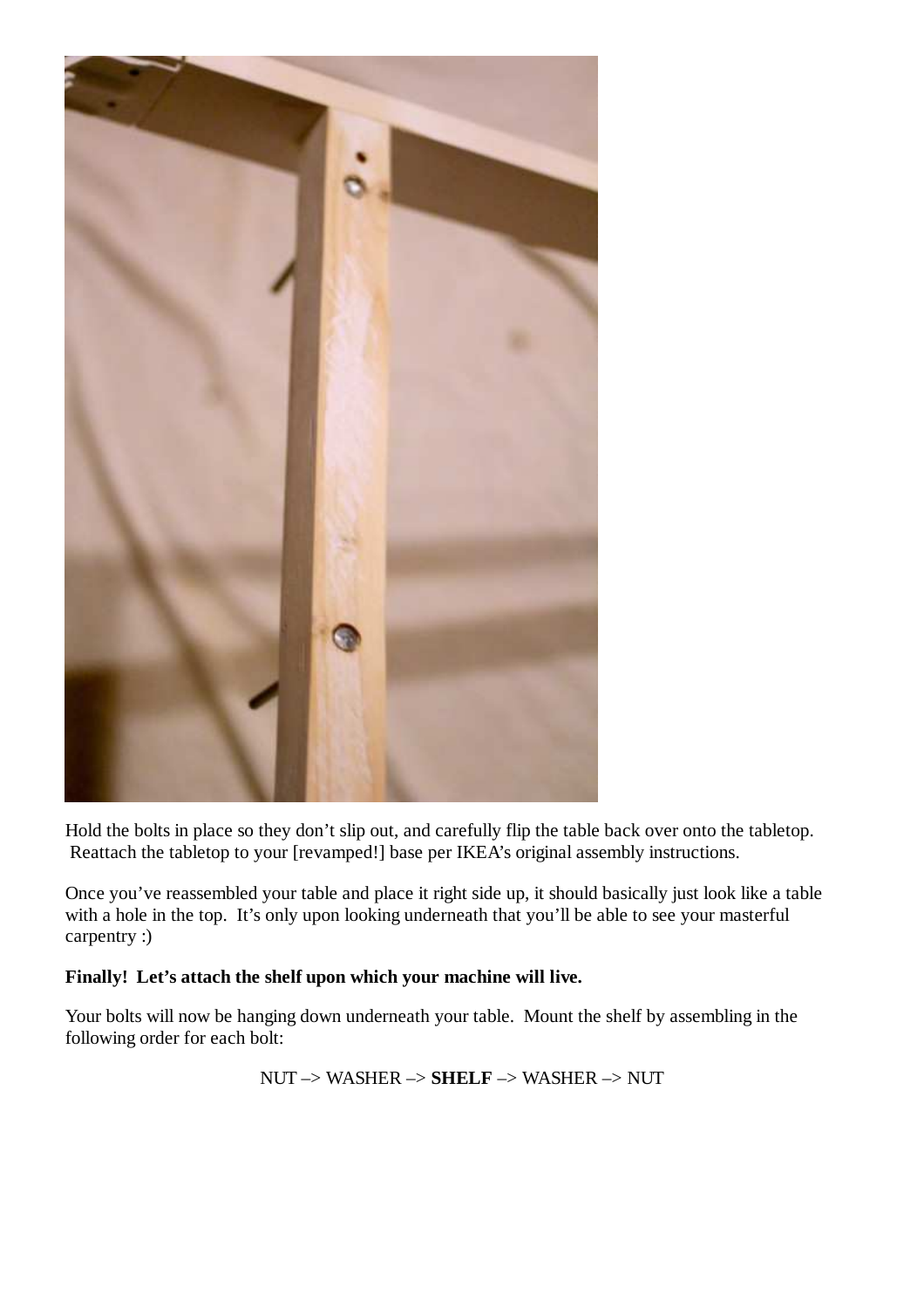

Hold the bolts in place so they don't slip out, and carefully flip the table back over onto the tabletop. Reattach the tabletop to your [revamped!] base per IKEA's original assembly instructions.

Once you've reassembled your table and place it right side up, it should basically just look like a table with a hole in the top. It's only upon looking underneath that you'll be able to see your masterful carpentry :)

#### **Finally! Let's attach the shelf upon which your machine will live.**

Your bolts will now be hanging down underneath your table. Mount the shelf by assembling in the following order for each bolt:

NUT –> WASHER –> **SHELF** –> WASHER –> NUT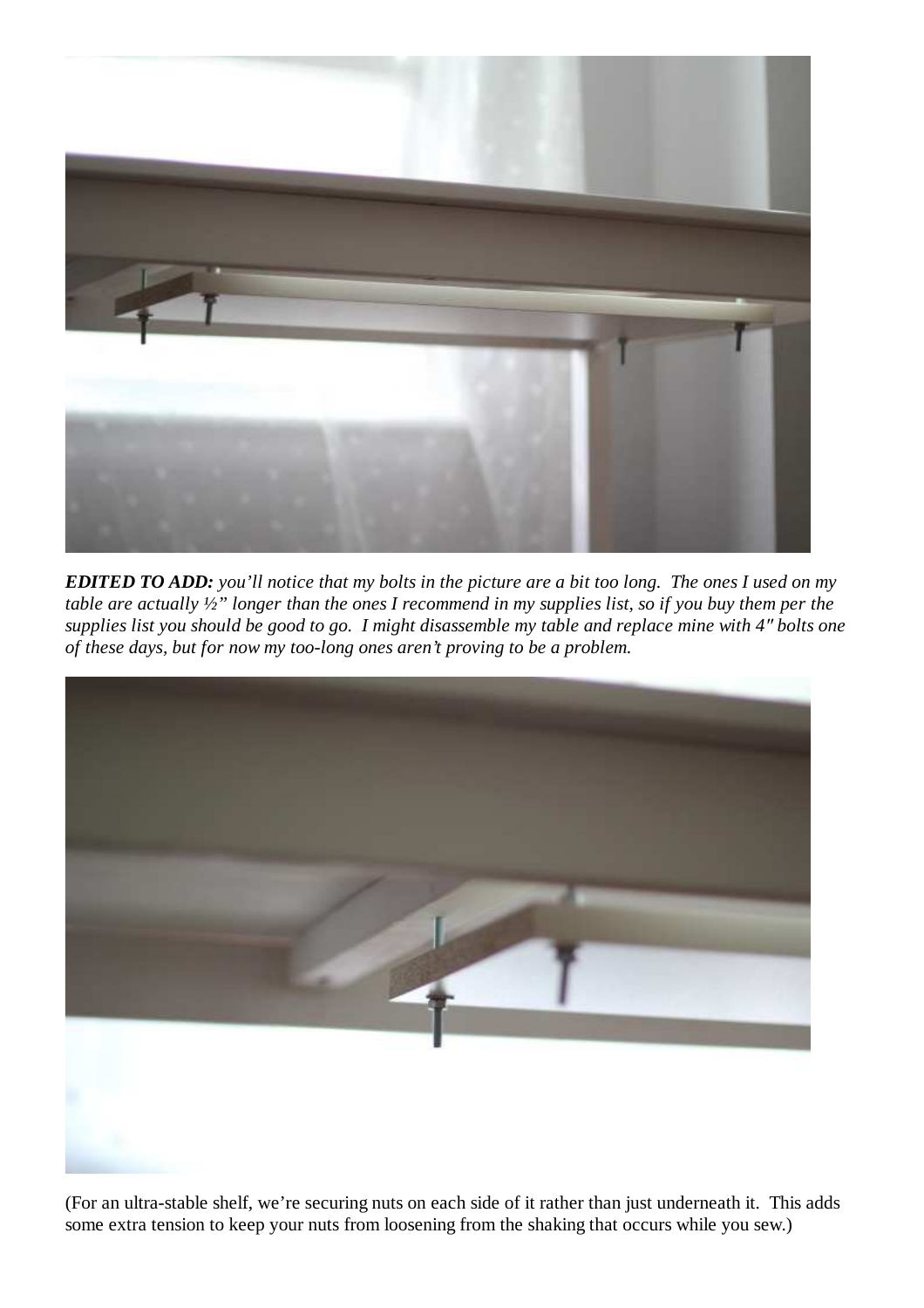

*EDITED TO ADD: you'll notice that my bolts in the picture are a bit too long. The ones I used on my table are actually ½" longer than the ones I recommend in my supplies list, so if you buy them per the supplies list you should be good to go. I might disassemble my table and replace mine with 4*″ *bolts one of these days, but for now my too-long ones aren't proving to be a problem.*



(For an ultra-stable shelf, we're securing nuts on each side of it rather than just underneath it. This adds some extra tension to keep your nuts from loosening from the shaking that occurs while you sew.)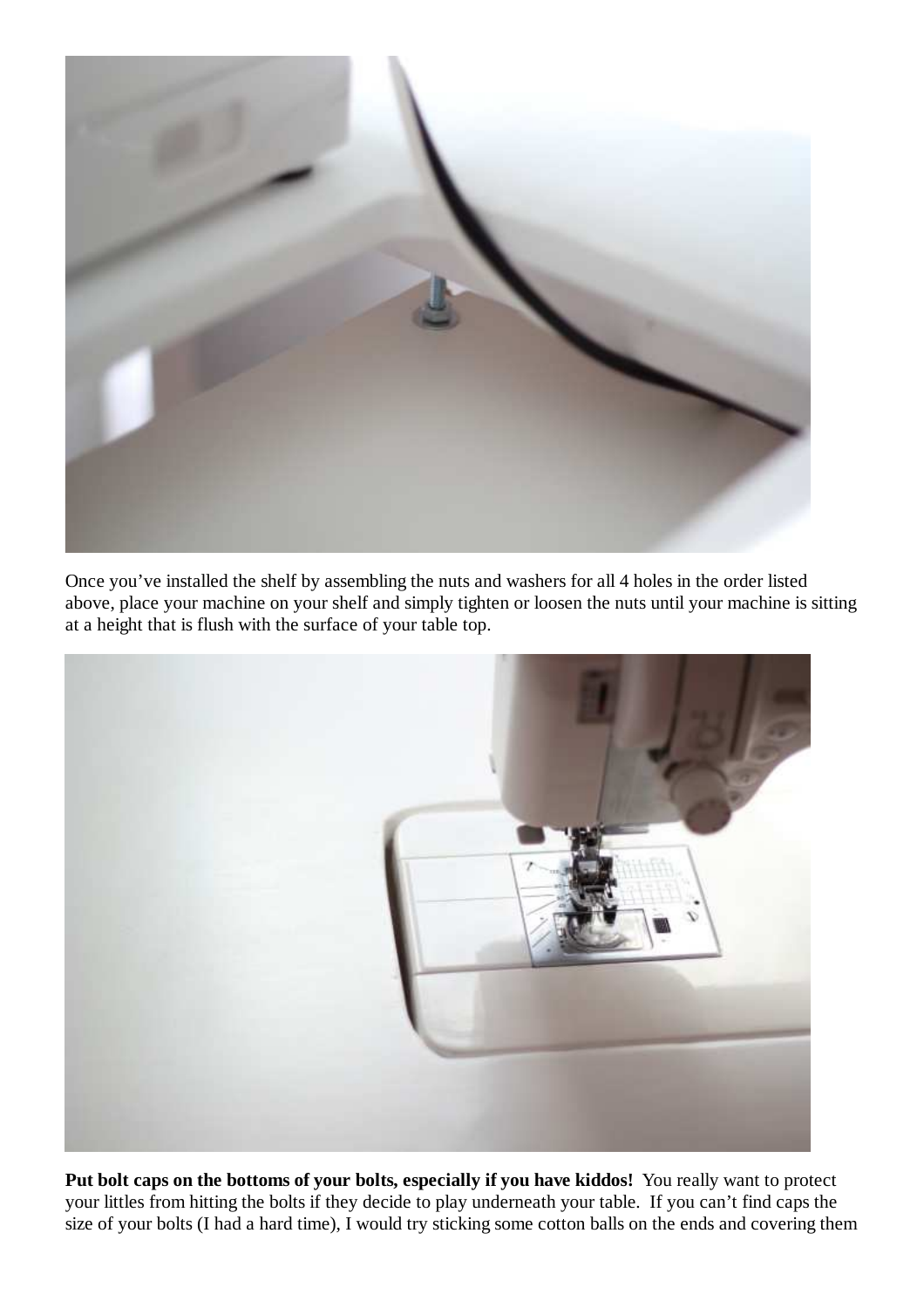

Once you've installed the shelf by assembling the nuts and washers for all 4 holes in the order listed above, place your machine on your shelf and simply tighten or loosen the nuts until your machine is sitting at a height that is flush with the surface of your table top.



**Put bolt caps on the bottoms of your bolts, especially if you have kiddos!** You really want to protect your littles from hitting the bolts if they decide to play underneath your table. If you can't find caps the size of your bolts (I had a hard time), I would try sticking some cotton balls on the ends and covering them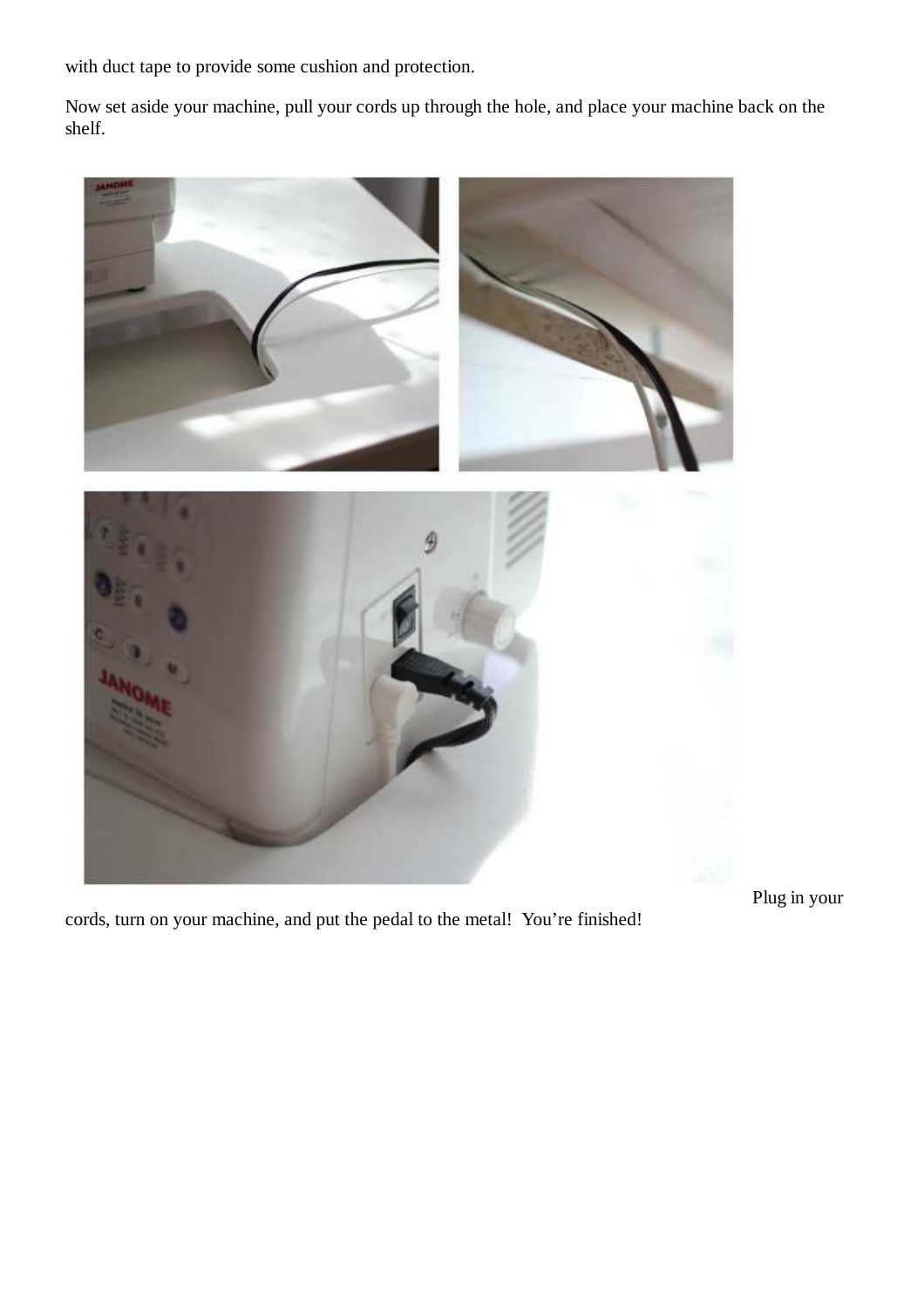with duct tape to provide some cushion and protection.

Now set aside your machine, pull your cords up through the hole, and place your machine back on the shelf.



Plug in your

cords, turn on your machine, and put the pedal to the metal! You're finished!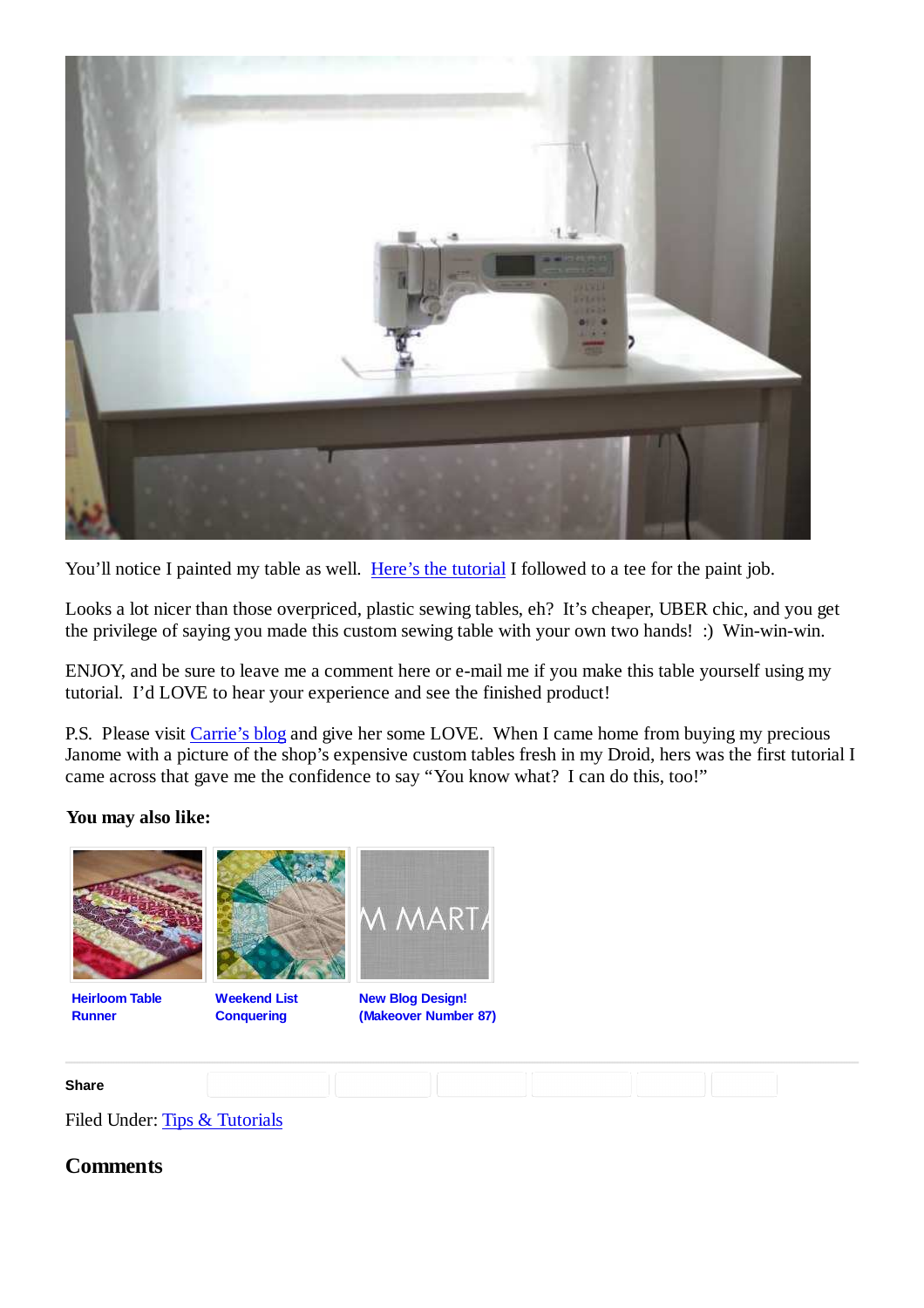

You'll notice I painted my table as well. Here's the tutorial I followed to a tee for the paint job.

Looks a lot nicer than those overpriced, plastic sewing tables, eh? It's cheaper, UBER chic, and you get the privilege of saying you made this custom sewing table with your own two hands! :) Win-win-win.

ENJOY, and be sure to leave me a comment here or e-mail me if you make this table yourself using my tutorial. I'd LOVE to hear your experience and see the finished product!

P.S. Please visit Carrie's blog and give her some LOVE. When I came home from buying my precious Janome with a picture of the shop's expensive custom tables fresh in my Droid, hers was the first tutorial I came across that gave me the confidence to say "You know what? I can do this, too!"

#### **You may also like:**



**Heirloom Table Runner**



**Weekend List Conquering**



**New Blog Design! (Makeover Number 87)**



Filed Under: Tips & Tutorials

#### **Comments**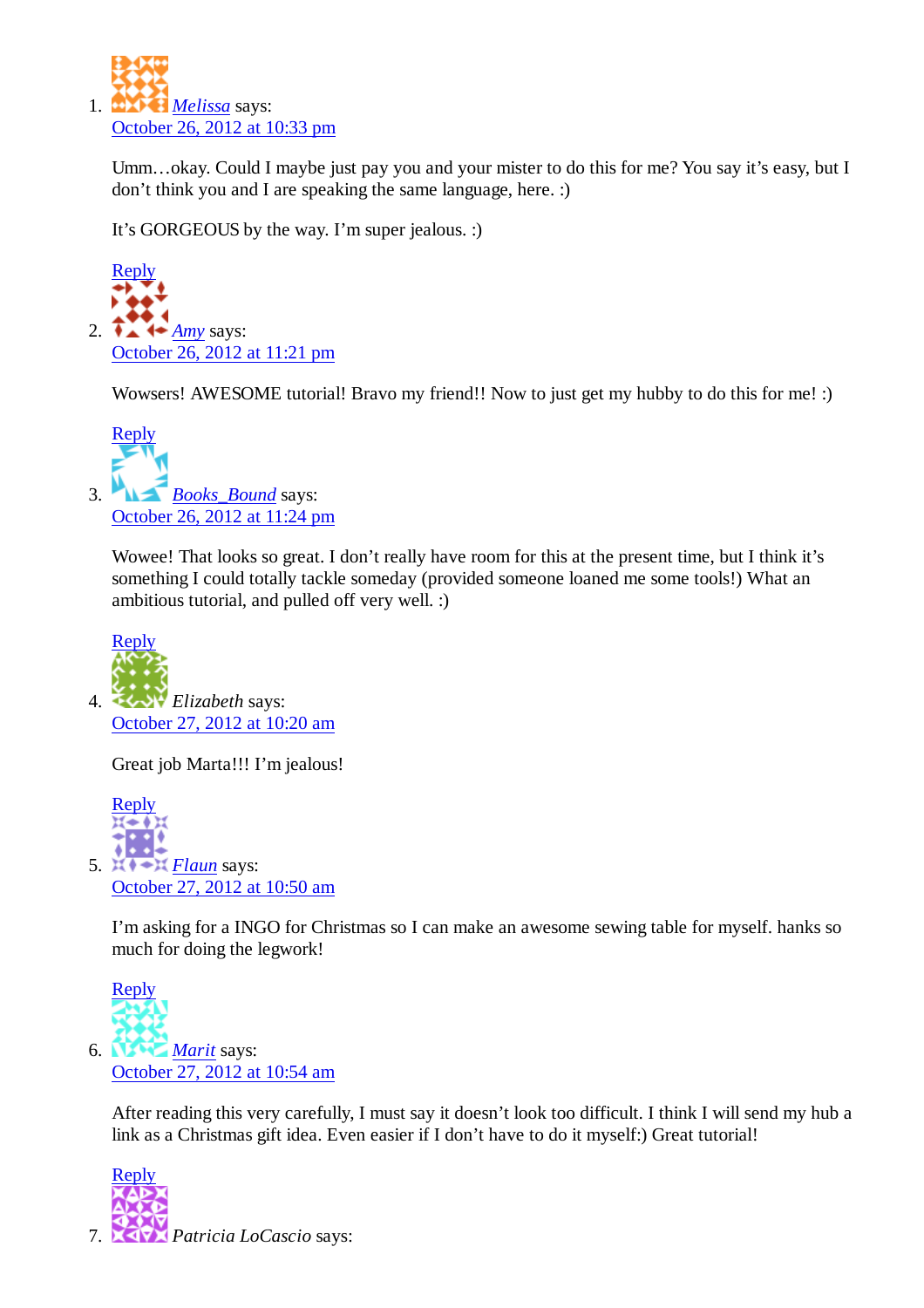

Umm…okay. Could I maybe just pay you and your mister to do this for me? You say it's easy, but I don't think you and I are speaking the same language, here. :)

It's GORGEOUS by the way. I'm super jealous. :)



Wowsers! AWESOME tutorial! Bravo my friend!! Now to just get my hubby to do this for me! :)



Wowee! That looks so great. I don't really have room for this at the present time, but I think it's something I could totally tackle someday (provided someone loaned me some tools!) What an ambitious tutorial, and pulled off very well. :)



Great job Marta!!! I'm jealous!



I'm asking for a INGO for Christmas so I can make an awesome sewing table for myself. hanks so much for doing the legwork!



After reading this very carefully, I must say it doesn't look too difficult. I think I will send my hub a link as a Christmas gift idea. Even easier if I don't have to do it myself:) Great tutorial!

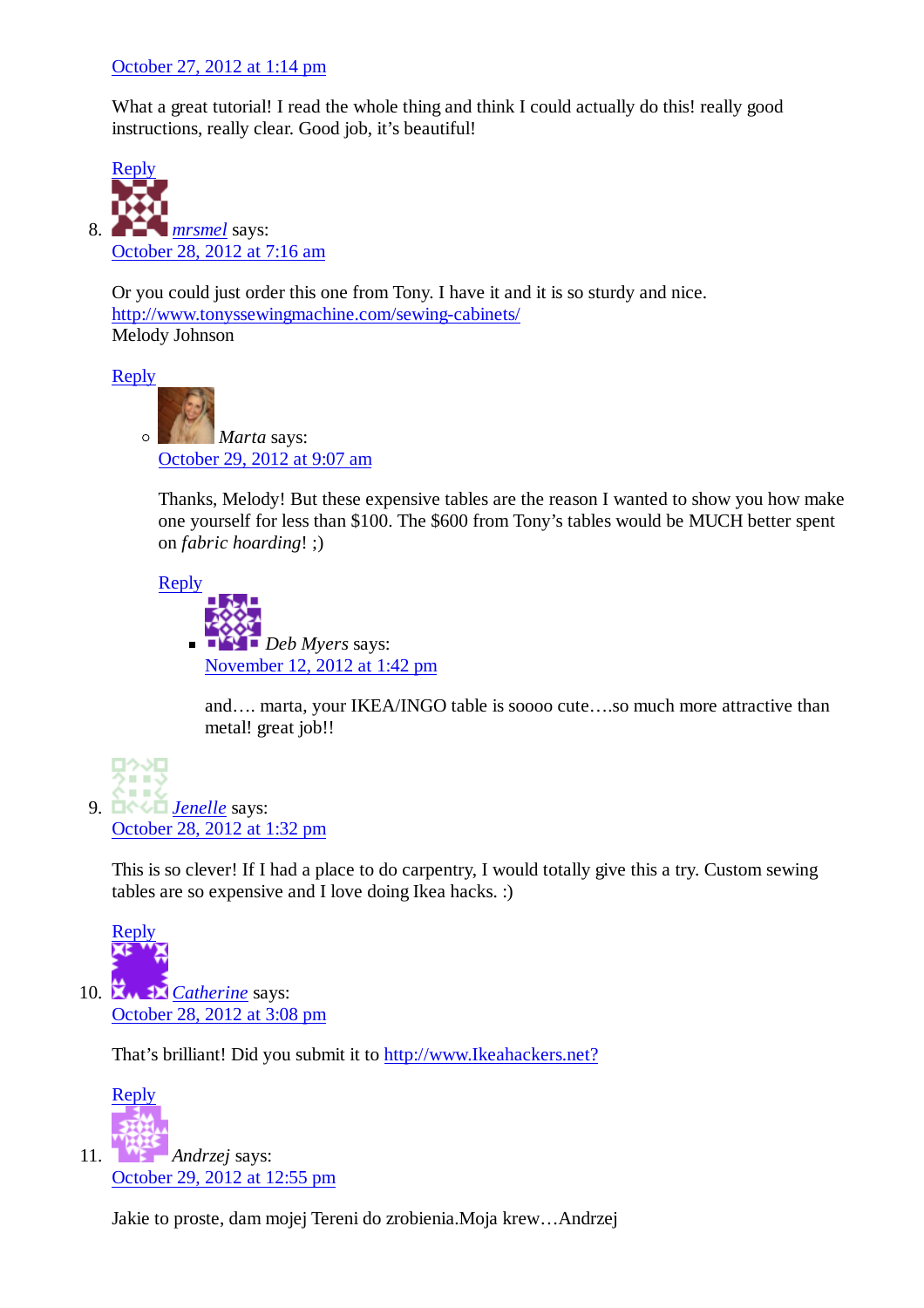#### October 27, 2012 at 1:14 pm

What a great tutorial! I read the whole thing and think I could actually do this! really good instructions, really clear. Good job, it's beautiful!



Or you could just order this one from Tony. I have it and it is so sturdy and nice. http://www.tonyssewingmachine.com/sewing-cabinets/ Melody Johnson

Reply



Thanks, Melody! But these expensive tables are the reason I wanted to show you how make one yourself for less than \$100. The \$600 from Tony's tables would be MUCH better spent on *fabric hoarding*! ;)

Reply



and…. marta, your IKEA/INGO table is soooo cute….so much more attractive than metal! great job!!

*Jenelle* says: 9. October 28, 2012 at 1:32 pm

This is so clever! If I had a place to do carpentry, I would totally give this a try. Custom sewing tables are so expensive and I love doing Ikea hacks. :)



10. **Z<sub>M</sub> 1** *Catherine* says: October 28, 2012 at 3:08 pm

That's brilliant! Did you submit it to http://www.Ikeahackers.net?



Jakie to proste, dam mojej Tereni do zrobienia.Moja krew…Andrzej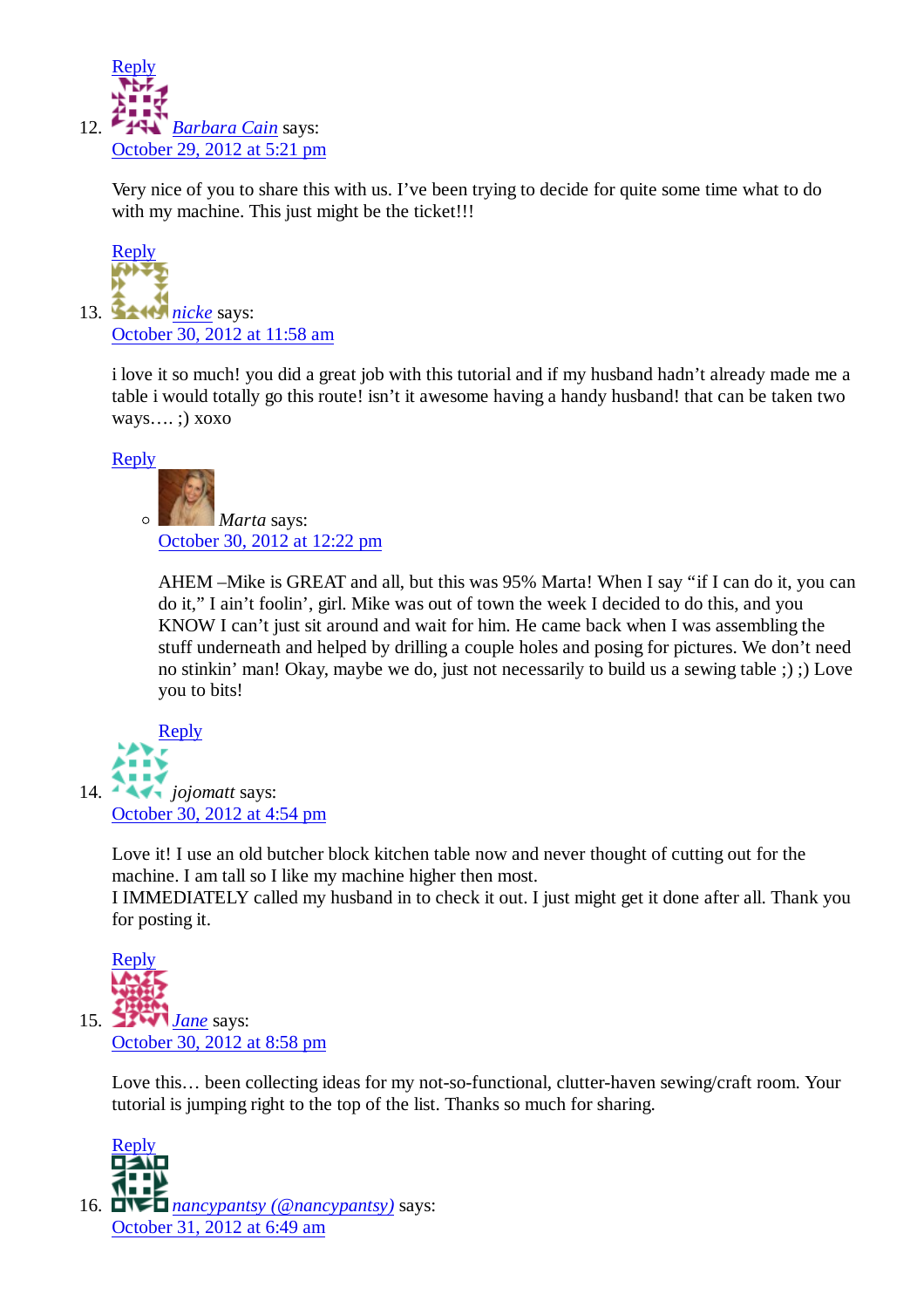

Very nice of you to share this with us. I've been trying to decide for quite some time what to do with my machine. This just might be the ticket!!!



i love it so much! you did a great job with this tutorial and if my husband hadn't already made me a table i would totally go this route! isn't it awesome having a handy husband! that can be taken two ways…. ;) xoxo

Reply



AHEM –Mike is GREAT and all, but this was 95% Marta! When I say "if I can do it, you can do it," I ain't foolin', girl. Mike was out of town the week I decided to do this, and you KNOW I can't just sit around and wait for him. He came back when I was assembling the stuff underneath and helped by drilling a couple holes and posing for pictures. We don't need no stinkin' man! Okay, maybe we do, just not necessarily to build us a sewing table ;) ;) Love you to bits!



Love it! I use an old butcher block kitchen table now and never thought of cutting out for the machine. I am tall so I like my machine higher then most.

I IMMEDIATELY called my husband in to check it out. I just might get it done after all. Thank you for posting it.



Love this… been collecting ideas for my not-so-functional, clutter-haven sewing/craft room. Your tutorial is jumping right to the top of the list. Thanks so much for sharing.



*nancypantsy (@nancypantsy)* says: 16.October 31, 2012 at 6:49 am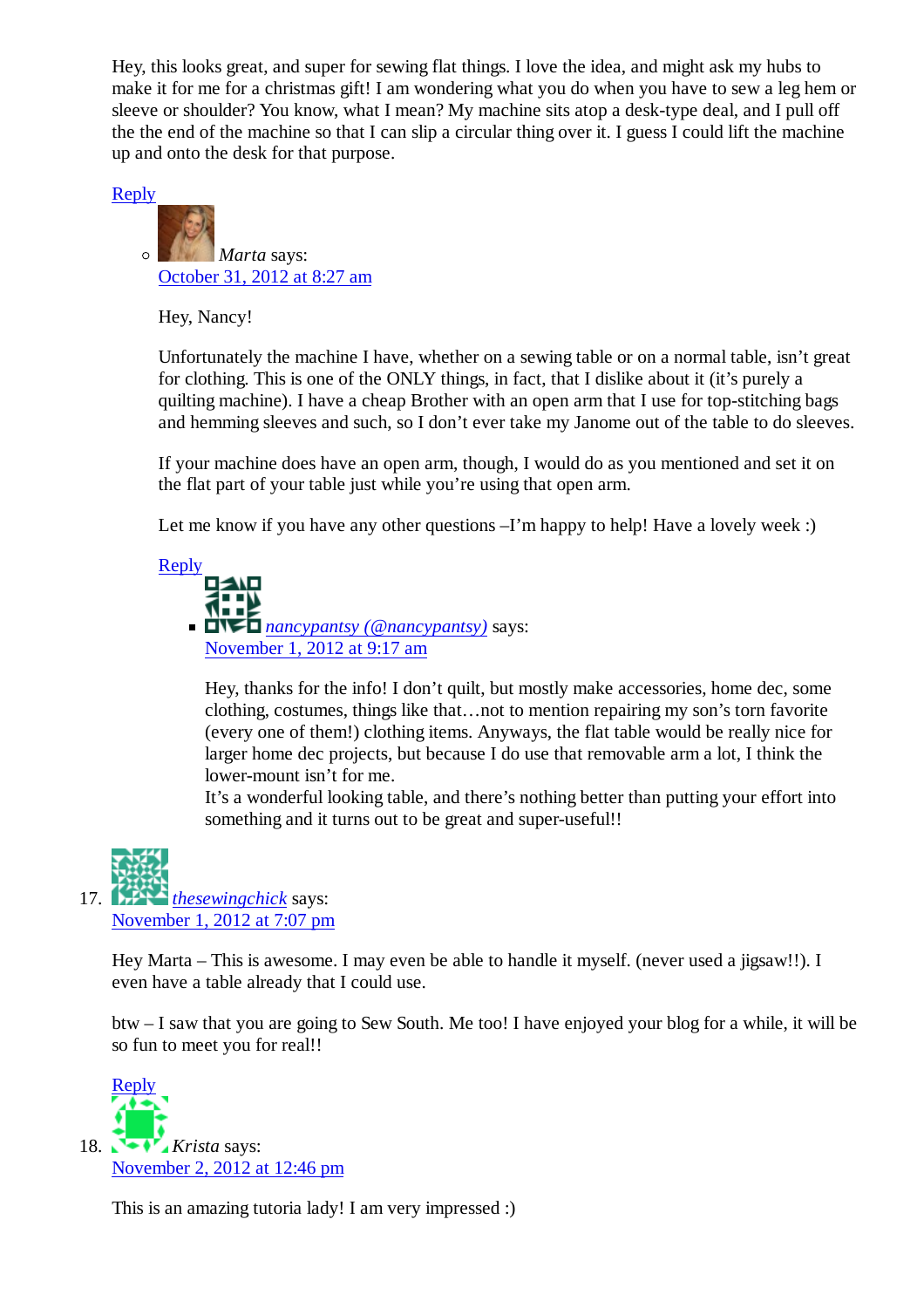Hey, this looks great, and super for sewing flat things. I love the idea, and might ask my hubs to make it for me for a christmas gift! I am wondering what you do when you have to sew a leg hem or sleeve or shoulder? You know, what I mean? My machine sits atop a desk-type deal, and I pull off the the end of the machine so that I can slip a circular thing over it. I guess I could lift the machine up and onto the desk for that purpose.

Reply



Hey, Nancy!

Unfortunately the machine I have, whether on a sewing table or on a normal table, isn't great for clothing. This is one of the ONLY things, in fact, that I dislike about it (it's purely a quilting machine). I have a cheap Brother with an open arm that I use for top-stitching bags and hemming sleeves and such, so I don't ever take my Janome out of the table to do sleeves.

If your machine does have an open arm, though, I would do as you mentioned and set it on the flat part of your table just while you're using that open arm.

Let me know if you have any other questions –I'm happy to help! Have a lovely week :)

Reply *nancypantsy (@nancypantsy)* says: November 1, 2012 at 9:17 am

> Hey, thanks for the info! I don't quilt, but mostly make accessories, home dec, some clothing, costumes, things like that…not to mention repairing my son's torn favorite (every one of them!) clothing items. Anyways, the flat table would be really nice for larger home dec projects, but because I do use that removable arm a lot, I think the lower-mount isn't for me.

> It's a wonderful looking table, and there's nothing better than putting your effort into something and it turns out to be great and super-useful!!

*thesewingchick* says: November 1, 2012 at 7:07 pm 17.  $\blacksquare$ 

> Hey Marta – This is awesome. I may even be able to handle it myself. (never used a jigsaw!!). I even have a table already that I could use.

btw – I saw that you are going to Sew South. Me too! I have enjoyed your blog for a while, it will be so fun to meet you for real!!



This is an amazing tutoria lady! I am very impressed :)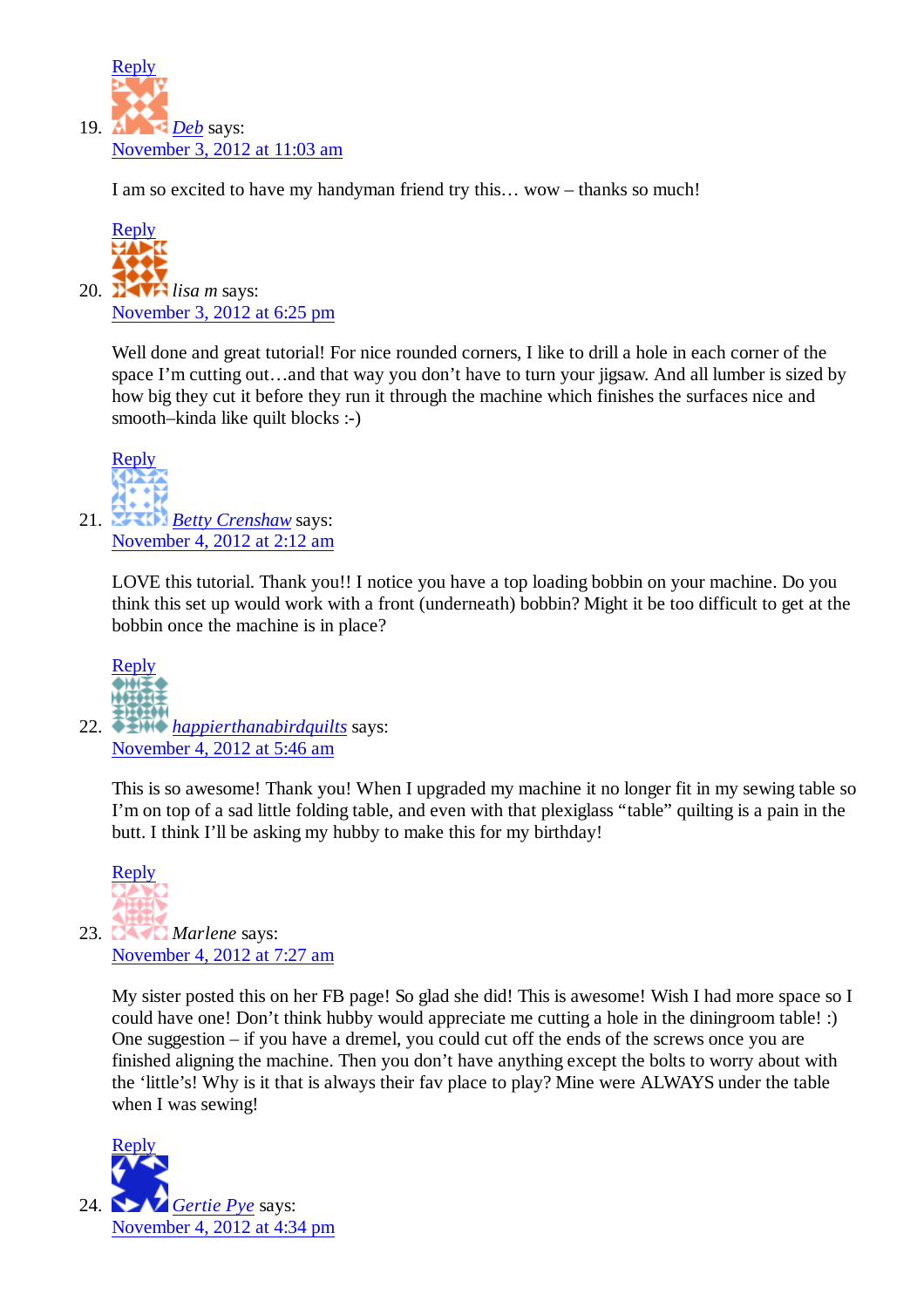

I am so excited to have my handyman friend try this… wow – thanks so much!



Well done and great tutorial! For nice rounded corners, I like to drill a hole in each corner of the space I'm cutting out...and that way you don't have to turn your jigsaw. And all lumber is sized by how big they cut it before they run it through the machine which finishes the surfaces nice and smooth–kinda like quilt blocks :-)



LOVE this tutorial. Thank you!! I notice you have a top loading bobbin on your machine. Do you think this set up would work with a front (underneath) bobbin? Might it be too difficult to get at the bobbin once the machine is in place?



*happierthanabirdquilts* says: 22. November 4, 2012 at 5:46 am

This is so awesome! Thank you! When I upgraded my machine it no longer fit in my sewing table so I'm on top of a sad little folding table, and even with that plexiglass "table" quilting is a pain in the butt. I think I'll be asking my hubby to make this for my birthday!



23. Marlene says: November 4, 2012 at 7:27 am

> My sister posted this on her FB page! So glad she did! This is awesome! Wish I had more space so I could have one! Don't think hubby would appreciate me cutting a hole in the diningroom table! :) One suggestion – if you have a dremel, you could cut off the ends of the screws once you are finished aligning the machine. Then you don't have anything except the bolts to worry about with the 'little's! Why is it that is always their fav place to play? Mine were ALWAYS under the table when I was sewing!

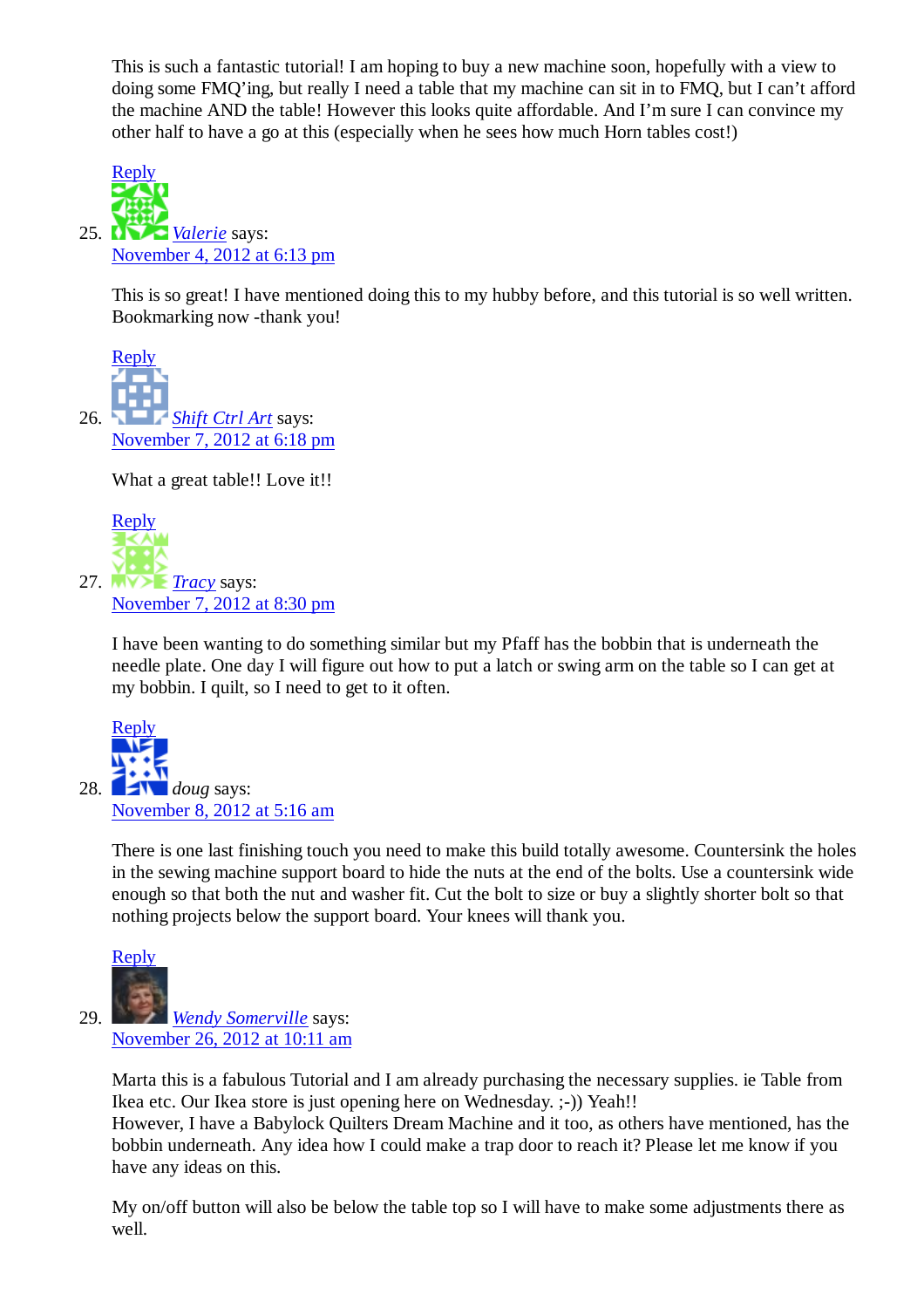This is such a fantastic tutorial! I am hoping to buy a new machine soon, hopefully with a view to doing some FMQ'ing, but really I need a table that my machine can sit in to FMQ, but I can't afford the machine AND the table! However this looks quite affordable. And I'm sure I can convince my other half to have a go at this (especially when he sees how much Horn tables cost!)



This is so great! I have mentioned doing this to my hubby before, and this tutorial is so well written. Bookmarking now -thank you!



What a great table!! Love it!!



I have been wanting to do something similar but my Pfaff has the bobbin that is underneath the needle plate. One day I will figure out how to put a latch or swing arm on the table so I can get at my bobbin. I quilt, so I need to get to it often.



There is one last finishing touch you need to make this build totally awesome. Countersink the holes in the sewing machine support board to hide the nuts at the end of the bolts. Use a countersink wide enough so that both the nut and washer fit. Cut the bolt to size or buy a slightly shorter bolt so that nothing projects below the support board. Your knees will thank you.



*Wendy Somerville* says: November 26, 2012 at 10:11 am

Marta this is a fabulous Tutorial and I am already purchasing the necessary supplies. ie Table from Ikea etc. Our Ikea store is just opening here on Wednesday. ;-)) Yeah!!

However, I have a Babylock Quilters Dream Machine and it too, as others have mentioned, has the bobbin underneath. Any idea how I could make a trap door to reach it? Please let me know if you have any ideas on this.

My on/off button will also be below the table top so I will have to make some adjustments there as well.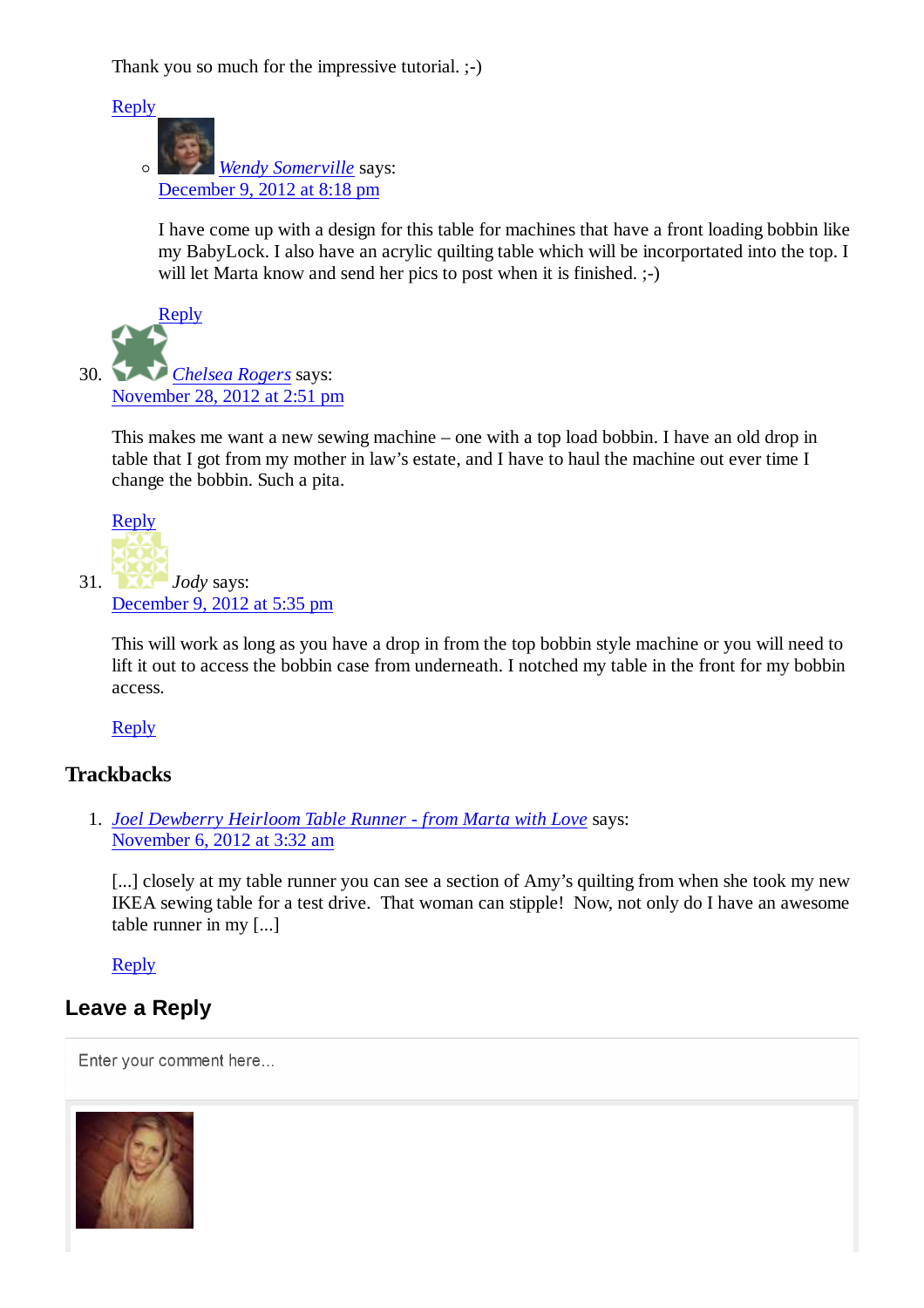Thank you so much for the impressive tutorial.  $;-)$ 

Reply

*Wendy Somerville* says:  $\circ$ December 9, 2012 at 8:18 pm

I have come up with a design for this table for machines that have a front loading bobbin like my BabyLock. I also have an acrylic quilting table which will be incorportated into the top. I will let Marta know and send her pics to post when it is finished.  $;-$ 



This makes me want a new sewing machine – one with a top load bobbin. I have an old drop in table that I got from my mother in law's estate, and I have to haul the machine out ever time I change the bobbin. Such a pita.



This will work as long as you have a drop in from the top bobbin style machine or you will need to lift it out to access the bobbin case from underneath. I notched my table in the front for my bobbin access.

#### Reply

#### **Trackbacks**

*Joel Dewberry Heirloom Table Runner - from Marta with Love* says: 1. November 6, 2012 at 3:32 am

[...] closely at my table runner you can see a section of Amy's quilting from when she took my new IKEA sewing table for a test drive. That woman can stipple! Now, not only do I have an awesome table runner in my [...]

Reply

#### **Leave a Reply**

Enter your comment here...

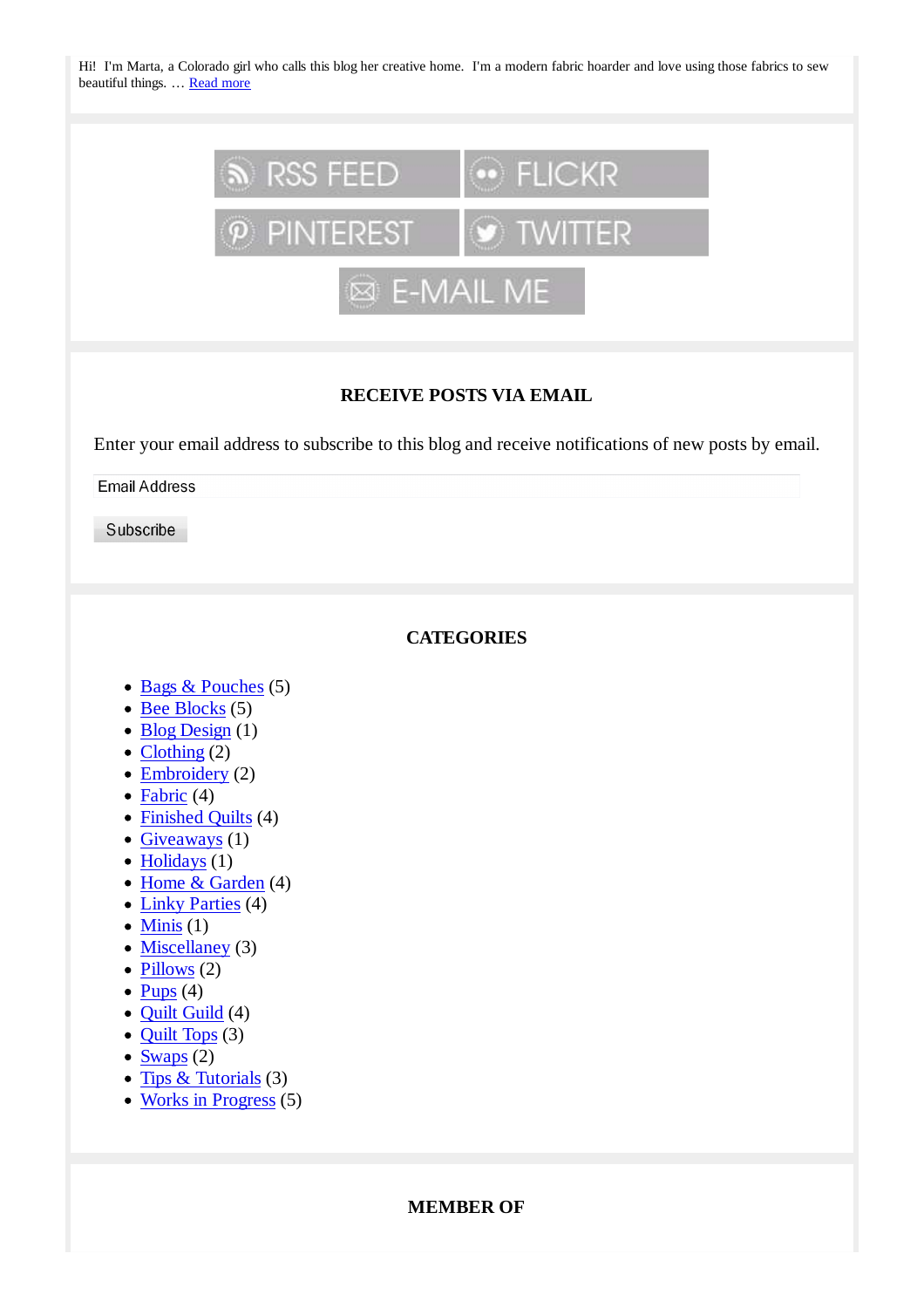Hi! I'm Marta, a Colorado girl who calls this blog her creative home. I'm a modern fabric hoarder and love using those fabrics to sew beautiful things. … Read more



#### **RECEIVE POSTS VIA EMAIL**

Enter your email address to subscribe to this blog and receive notifications of new posts by email.

**Email Address** 

Subscribe

#### **CATEGORIES**

- Bags & Pouches (5)
- $\bullet$  Bee Blocks (5)
- $\bullet$  Blog Design (1)
- $\bullet$  Clothing (2)
- $\bullet$  Embroidery (2)
- $\bullet$  Fabric (4)
- Finished Quilts (4)
- $\bullet$  Giveaways (1)
- $\bullet$  Holidays (1)
- Home & Garden (4)
- Linky Parties (4)
- $\bullet$  Minis (1)
- $\bullet$  Miscellaney (3)
- $\bullet$  Pillows (2)
- $\bullet$  Pups (4)
- Quilt Guild (4)
- $\bullet$  Quilt Tops (3)
- $\bullet$  Swaps (2)
- Tips  $&$  Tutorials (3)
- Works in Progress (5)

#### **MEMBER OF**